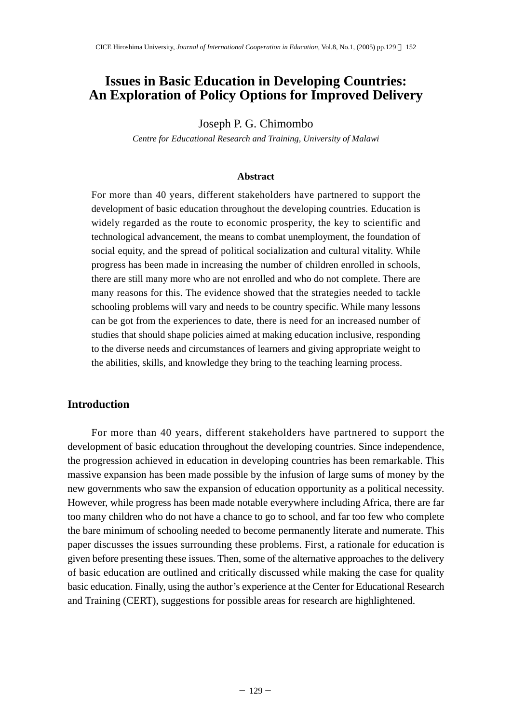# **Issues in Basic Education in Developing Countries: An Exploration of Policy Options for Improved Delivery**

Joseph P. G. Chimombo

*Centre for Educational Research and Training, University of Malawi*

#### **Abstract**

For more than 40 years, different stakeholders have partnered to support the development of basic education throughout the developing countries. Education is widely regarded as the route to economic prosperity, the key to scientific and technological advancement, the means to combat unemployment, the foundation of social equity, and the spread of political socialization and cultural vitality. While progress has been made in increasing the number of children enrolled in schools, there are still many more who are not enrolled and who do not complete. There are many reasons for this. The evidence showed that the strategies needed to tackle schooling problems will vary and needs to be country specific. While many lessons can be got from the experiences to date, there is need for an increased number of studies that should shape policies aimed at making education inclusive, responding to the diverse needs and circumstances of learners and giving appropriate weight to the abilities, skills, and knowledge they bring to the teaching learning process.

# **Introduction**

For more than 40 years, different stakeholders have partnered to support the development of basic education throughout the developing countries. Since independence, the progression achieved in education in developing countries has been remarkable. This massive expansion has been made possible by the infusion of large sums of money by the new governments who saw the expansion of education opportunity as a political necessity. However, while progress has been made notable everywhere including Africa, there are far too many children who do not have a chance to go to school, and far too few who complete the bare minimum of schooling needed to become permanently literate and numerate. This paper discusses the issues surrounding these problems. First, a rationale for education is given before presenting these issues. Then, some of the alternative approaches to the delivery of basic education are outlined and critically discussed while making the case for quality basic education. Finally, using the author's experience at the Center for Educational Research and Training (CERT), suggestions for possible areas for research are highlightened.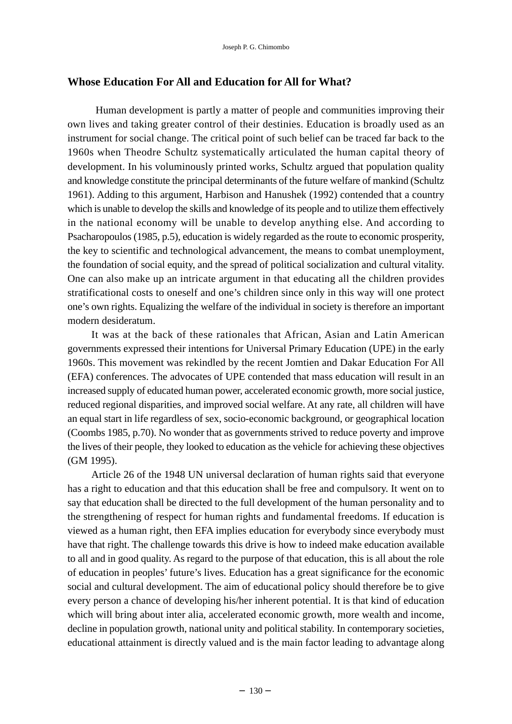# **Whose Education For All and Education for All for What?**

Human development is partly a matter of people and communities improving their own lives and taking greater control of their destinies. Education is broadly used as an instrument for social change. The critical point of such belief can be traced far back to the 1960s when Theodre Schultz systematically articulated the human capital theory of development. In his voluminously printed works, Schultz argued that population quality and knowledge constitute the principal determinants of the future welfare of mankind (Schultz 1961). Adding to this argument, Harbison and Hanushek (1992) contended that a country which is unable to develop the skills and knowledge of its people and to utilize them effectively in the national economy will be unable to develop anything else. And according to Psacharopoulos (1985, p.5), education is widely regarded as the route to economic prosperity, the key to scientific and technological advancement, the means to combat unemployment, the foundation of social equity, and the spread of political socialization and cultural vitality. One can also make up an intricate argument in that educating all the children provides stratificational costs to oneself and one's children since only in this way will one protect one's own rights. Equalizing the welfare of the individual in society is therefore an important modern desideratum.

It was at the back of these rationales that African, Asian and Latin American governments expressed their intentions for Universal Primary Education (UPE) in the early 1960s. This movement was rekindled by the recent Jomtien and Dakar Education For All (EFA) conferences. The advocates of UPE contended that mass education will result in an increased supply of educated human power, accelerated economic growth, more social justice, reduced regional disparities, and improved social welfare. At any rate, all children will have an equal start in life regardless of sex, socio-economic background, or geographical location (Coombs 1985, p.70). No wonder that as governments strived to reduce poverty and improve the lives of their people, they looked to education as the vehicle for achieving these objectives (GM 1995).

Article 26 of the 1948 UN universal declaration of human rights said that everyone has a right to education and that this education shall be free and compulsory. It went on to say that education shall be directed to the full development of the human personality and to the strengthening of respect for human rights and fundamental freedoms. If education is viewed as a human right, then EFA implies education for everybody since everybody must have that right. The challenge towards this drive is how to indeed make education available to all and in good quality. As regard to the purpose of that education, this is all about the role of education in peoples' future's lives. Education has a great significance for the economic social and cultural development. The aim of educational policy should therefore be to give every person a chance of developing his/her inherent potential. It is that kind of education which will bring about inter alia, accelerated economic growth, more wealth and income, decline in population growth, national unity and political stability. In contemporary societies, educational attainment is directly valued and is the main factor leading to advantage along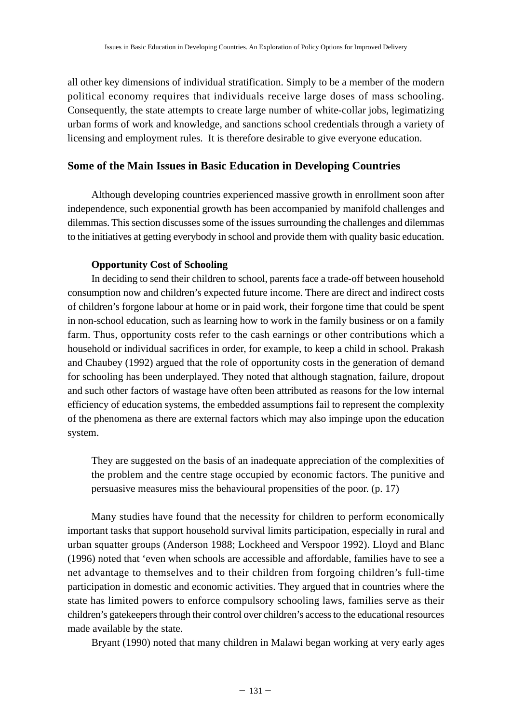all other key dimensions of individual stratification. Simply to be a member of the modern political economy requires that individuals receive large doses of mass schooling. Consequently, the state attempts to create large number of white-collar jobs, legimatizing urban forms of work and knowledge, and sanctions school credentials through a variety of licensing and employment rules. It is therefore desirable to give everyone education.

# **Some of the Main Issues in Basic Education in Developing Countries**

Although developing countries experienced massive growth in enrollment soon after independence, such exponential growth has been accompanied by manifold challenges and dilemmas. This section discusses some of the issues surrounding the challenges and dilemmas to the initiatives at getting everybody in school and provide them with quality basic education.

# **Opportunity Cost of Schooling**

In deciding to send their children to school, parents face a trade-off between household consumption now and children's expected future income. There are direct and indirect costs of children's forgone labour at home or in paid work, their forgone time that could be spent in non-school education, such as learning how to work in the family business or on a family farm. Thus, opportunity costs refer to the cash earnings or other contributions which a household or individual sacrifices in order, for example, to keep a child in school. Prakash and Chaubey (1992) argued that the role of opportunity costs in the generation of demand for schooling has been underplayed. They noted that although stagnation, failure, dropout and such other factors of wastage have often been attributed as reasons for the low internal efficiency of education systems, the embedded assumptions fail to represent the complexity of the phenomena as there are external factors which may also impinge upon the education system.

They are suggested on the basis of an inadequate appreciation of the complexities of the problem and the centre stage occupied by economic factors. The punitive and persuasive measures miss the behavioural propensities of the poor. (p. 17)

Many studies have found that the necessity for children to perform economically important tasks that support household survival limits participation, especially in rural and urban squatter groups (Anderson 1988; Lockheed and Verspoor 1992). Lloyd and Blanc (1996) noted that 'even when schools are accessible and affordable, families have to see a net advantage to themselves and to their children from forgoing children's full-time participation in domestic and economic activities. They argued that in countries where the state has limited powers to enforce compulsory schooling laws, families serve as their children's gatekeepers through their control over children's access to the educational resources made available by the state.

Bryant (1990) noted that many children in Malawi began working at very early ages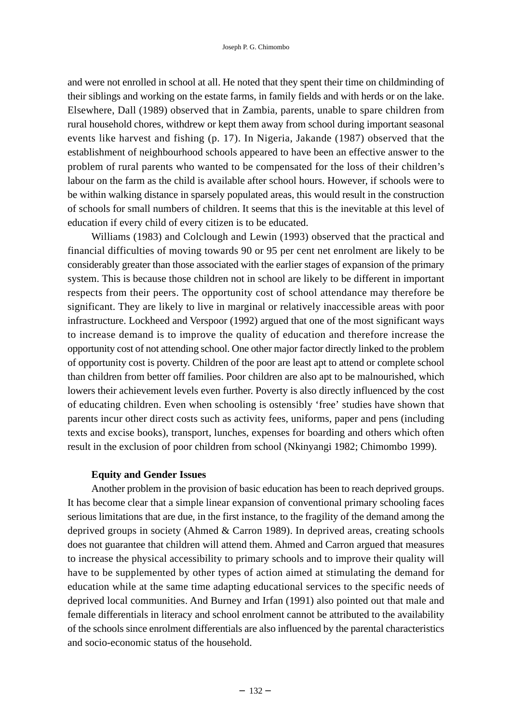and were not enrolled in school at all. He noted that they spent their time on childminding of their siblings and working on the estate farms, in family fields and with herds or on the lake. Elsewhere, Dall (1989) observed that in Zambia, parents, unable to spare children from rural household chores, withdrew or kept them away from school during important seasonal events like harvest and fishing (p. 17). In Nigeria, Jakande (1987) observed that the establishment of neighbourhood schools appeared to have been an effective answer to the problem of rural parents who wanted to be compensated for the loss of their children's labour on the farm as the child is available after school hours. However, if schools were to be within walking distance in sparsely populated areas, this would result in the construction of schools for small numbers of children. It seems that this is the inevitable at this level of education if every child of every citizen is to be educated.

Williams (1983) and Colclough and Lewin (1993) observed that the practical and financial difficulties of moving towards 90 or 95 per cent net enrolment are likely to be considerably greater than those associated with the earlier stages of expansion of the primary system. This is because those children not in school are likely to be different in important respects from their peers. The opportunity cost of school attendance may therefore be significant. They are likely to live in marginal or relatively inaccessible areas with poor infrastructure. Lockheed and Verspoor (1992) argued that one of the most significant ways to increase demand is to improve the quality of education and therefore increase the opportunity cost of not attending school. One other major factor directly linked to the problem of opportunity cost is poverty. Children of the poor are least apt to attend or complete school than children from better off families. Poor children are also apt to be malnourished, which lowers their achievement levels even further. Poverty is also directly influenced by the cost of educating children. Even when schooling is ostensibly 'free' studies have shown that parents incur other direct costs such as activity fees, uniforms, paper and pens (including texts and excise books), transport, lunches, expenses for boarding and others which often result in the exclusion of poor children from school (Nkinyangi 1982; Chimombo 1999).

### **Equity and Gender Issues**

Another problem in the provision of basic education has been to reach deprived groups. It has become clear that a simple linear expansion of conventional primary schooling faces serious limitations that are due, in the first instance, to the fragility of the demand among the deprived groups in society (Ahmed & Carron 1989). In deprived areas, creating schools does not guarantee that children will attend them. Ahmed and Carron argued that measures to increase the physical accessibility to primary schools and to improve their quality will have to be supplemented by other types of action aimed at stimulating the demand for education while at the same time adapting educational services to the specific needs of deprived local communities. And Burney and Irfan (1991) also pointed out that male and female differentials in literacy and school enrolment cannot be attributed to the availability of the schools since enrolment differentials are also influenced by the parental characteristics and socio-economic status of the household.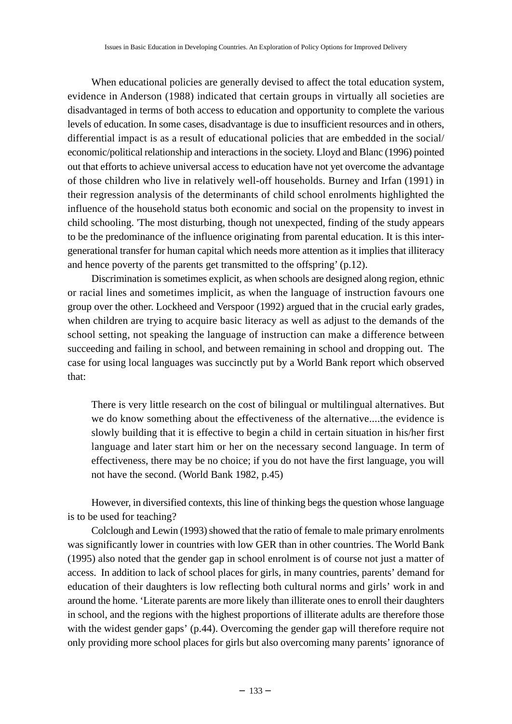When educational policies are generally devised to affect the total education system, evidence in Anderson (1988) indicated that certain groups in virtually all societies are disadvantaged in terms of both access to education and opportunity to complete the various levels of education. In some cases, disadvantage is due to insufficient resources and in others, differential impact is as a result of educational policies that are embedded in the social/ economic/political relationship and interactions in the society. Lloyd and Blanc (1996) pointed out that efforts to achieve universal access to education have not yet overcome the advantage of those children who live in relatively well-off households. Burney and Irfan (1991) in their regression analysis of the determinants of child school enrolments highlighted the influence of the household status both economic and social on the propensity to invest in child schooling. 'The most disturbing, though not unexpected, finding of the study appears to be the predominance of the influence originating from parental education. It is this intergenerational transfer for human capital which needs more attention as it implies that illiteracy and hence poverty of the parents get transmitted to the offspring' (p.12).

Discrimination is sometimes explicit, as when schools are designed along region, ethnic or racial lines and sometimes implicit, as when the language of instruction favours one group over the other. Lockheed and Verspoor (1992) argued that in the crucial early grades, when children are trying to acquire basic literacy as well as adjust to the demands of the school setting, not speaking the language of instruction can make a difference between succeeding and failing in school, and between remaining in school and dropping out. The case for using local languages was succinctly put by a World Bank report which observed that:

There is very little research on the cost of bilingual or multilingual alternatives. But we do know something about the effectiveness of the alternative....the evidence is slowly building that it is effective to begin a child in certain situation in his/her first language and later start him or her on the necessary second language. In term of effectiveness, there may be no choice; if you do not have the first language, you will not have the second. (World Bank 1982, p.45)

However, in diversified contexts, this line of thinking begs the question whose language is to be used for teaching?

Colclough and Lewin (1993) showed that the ratio of female to male primary enrolments was significantly lower in countries with low GER than in other countries. The World Bank (1995) also noted that the gender gap in school enrolment is of course not just a matter of access. In addition to lack of school places for girls, in many countries, parents' demand for education of their daughters is low reflecting both cultural norms and girls' work in and around the home. 'Literate parents are more likely than illiterate ones to enroll their daughters in school, and the regions with the highest proportions of illiterate adults are therefore those with the widest gender gaps' (p.44). Overcoming the gender gap will therefore require not only providing more school places for girls but also overcoming many parents' ignorance of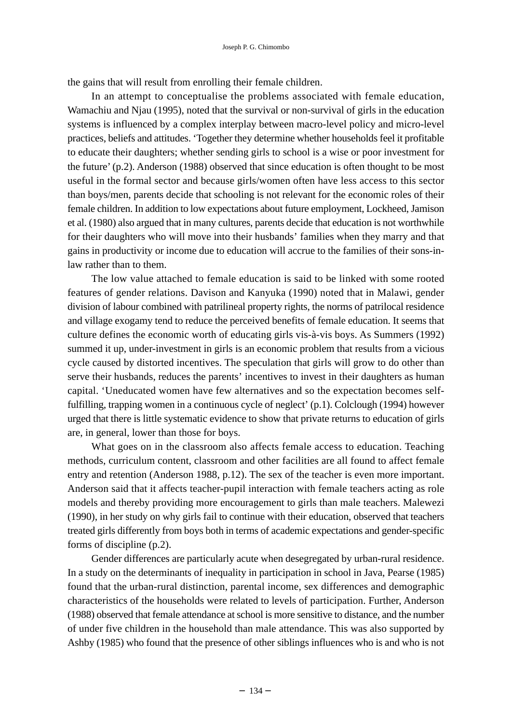the gains that will result from enrolling their female children.

In an attempt to conceptualise the problems associated with female education, Wamachiu and Njau (1995), noted that the survival or non-survival of girls in the education systems is influenced by a complex interplay between macro-level policy and micro-level practices, beliefs and attitudes. 'Together they determine whether households feel it profitable to educate their daughters; whether sending girls to school is a wise or poor investment for the future' (p.2). Anderson (1988) observed that since education is often thought to be most useful in the formal sector and because girls/women often have less access to this sector than boys/men, parents decide that schooling is not relevant for the economic roles of their female children. In addition to low expectations about future employment, Lockheed, Jamison et al. (1980) also argued that in many cultures, parents decide that education is not worthwhile for their daughters who will move into their husbands' families when they marry and that gains in productivity or income due to education will accrue to the families of their sons-inlaw rather than to them.

The low value attached to female education is said to be linked with some rooted features of gender relations. Davison and Kanyuka (1990) noted that in Malawi, gender division of labour combined with patrilineal property rights, the norms of patrilocal residence and village exogamy tend to reduce the perceived benefits of female education. It seems that culture defines the economic worth of educating girls vis-à-vis boys. As Summers (1992) summed it up, under-investment in girls is an economic problem that results from a vicious cycle caused by distorted incentives. The speculation that girls will grow to do other than serve their husbands, reduces the parents' incentives to invest in their daughters as human capital. 'Uneducated women have few alternatives and so the expectation becomes selffulfilling, trapping women in a continuous cycle of neglect' (p.1). Colclough (1994) however urged that there is little systematic evidence to show that private returns to education of girls are, in general, lower than those for boys.

What goes on in the classroom also affects female access to education. Teaching methods, curriculum content, classroom and other facilities are all found to affect female entry and retention (Anderson 1988, p.12). The sex of the teacher is even more important. Anderson said that it affects teacher-pupil interaction with female teachers acting as role models and thereby providing more encouragement to girls than male teachers. Malewezi (1990), in her study on why girls fail to continue with their education, observed that teachers treated girls differently from boys both in terms of academic expectations and gender-specific forms of discipline (p.2).

Gender differences are particularly acute when desegregated by urban-rural residence. In a study on the determinants of inequality in participation in school in Java, Pearse (1985) found that the urban-rural distinction, parental income, sex differences and demographic characteristics of the households were related to levels of participation. Further, Anderson (1988) observed that female attendance at school is more sensitive to distance, and the number of under five children in the household than male attendance. This was also supported by Ashby (1985) who found that the presence of other siblings influences who is and who is not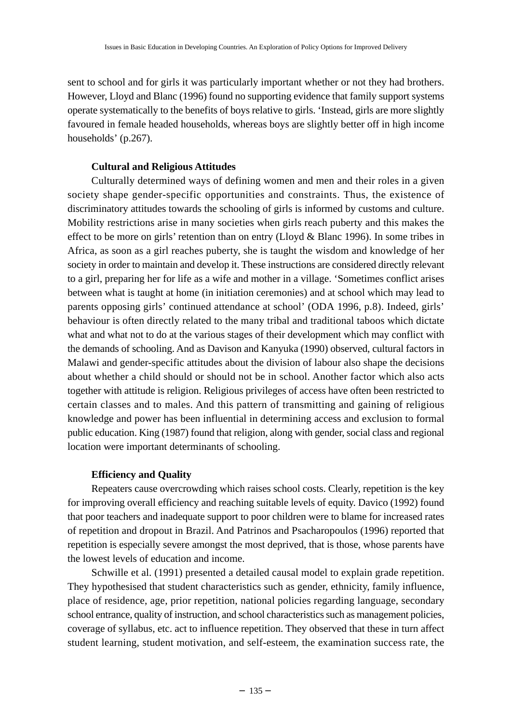sent to school and for girls it was particularly important whether or not they had brothers. However, Lloyd and Blanc (1996) found no supporting evidence that family support systems operate systematically to the benefits of boys relative to girls. 'Instead, girls are more slightly favoured in female headed households, whereas boys are slightly better off in high income households' (p.267).

# **Cultural and Religious Attitudes**

Culturally determined ways of defining women and men and their roles in a given society shape gender-specific opportunities and constraints. Thus, the existence of discriminatory attitudes towards the schooling of girls is informed by customs and culture. Mobility restrictions arise in many societies when girls reach puberty and this makes the effect to be more on girls' retention than on entry (Lloyd & Blanc 1996). In some tribes in Africa, as soon as a girl reaches puberty, she is taught the wisdom and knowledge of her society in order to maintain and develop it. These instructions are considered directly relevant to a girl, preparing her for life as a wife and mother in a village. 'Sometimes conflict arises between what is taught at home (in initiation ceremonies) and at school which may lead to parents opposing girls' continued attendance at school' (ODA 1996, p.8). Indeed, girls' behaviour is often directly related to the many tribal and traditional taboos which dictate what and what not to do at the various stages of their development which may conflict with the demands of schooling. And as Davison and Kanyuka (1990) observed, cultural factors in Malawi and gender-specific attitudes about the division of labour also shape the decisions about whether a child should or should not be in school. Another factor which also acts together with attitude is religion. Religious privileges of access have often been restricted to certain classes and to males. And this pattern of transmitting and gaining of religious knowledge and power has been influential in determining access and exclusion to formal public education. King (1987) found that religion, along with gender, social class and regional location were important determinants of schooling.

# **Efficiency and Quality**

Repeaters cause overcrowding which raises school costs. Clearly, repetition is the key for improving overall efficiency and reaching suitable levels of equity. Davico (1992) found that poor teachers and inadequate support to poor children were to blame for increased rates of repetition and dropout in Brazil. And Patrinos and Psacharopoulos (1996) reported that repetition is especially severe amongst the most deprived, that is those, whose parents have the lowest levels of education and income.

Schwille et al. (1991) presented a detailed causal model to explain grade repetition. They hypothesised that student characteristics such as gender, ethnicity, family influence, place of residence, age, prior repetition, national policies regarding language, secondary school entrance, quality of instruction, and school characteristics such as management policies, coverage of syllabus, etc. act to influence repetition. They observed that these in turn affect student learning, student motivation, and self-esteem, the examination success rate, the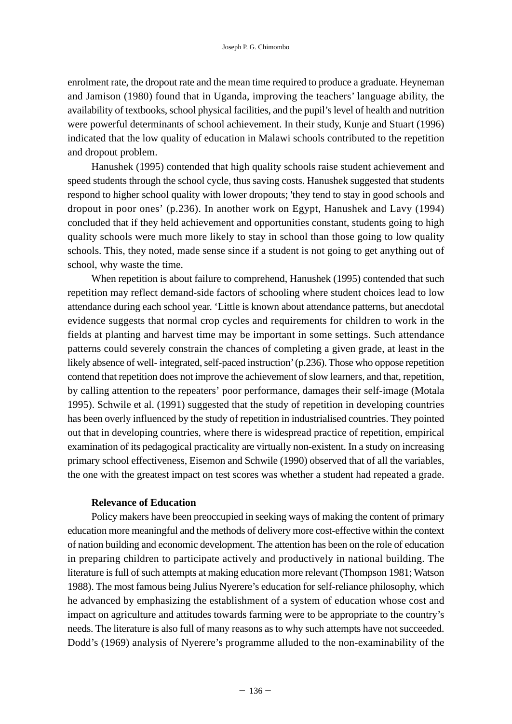enrolment rate, the dropout rate and the mean time required to produce a graduate. Heyneman and Jamison (1980) found that in Uganda, improving the teachers' language ability, the availability of textbooks, school physical facilities, and the pupil's level of health and nutrition were powerful determinants of school achievement. In their study, Kunje and Stuart (1996) indicated that the low quality of education in Malawi schools contributed to the repetition and dropout problem.

Hanushek (1995) contended that high quality schools raise student achievement and speed students through the school cycle, thus saving costs. Hanushek suggested that students respond to higher school quality with lower dropouts; 'they tend to stay in good schools and dropout in poor ones' (p.236). In another work on Egypt, Hanushek and Lavy (1994) concluded that if they held achievement and opportunities constant, students going to high quality schools were much more likely to stay in school than those going to low quality schools. This, they noted, made sense since if a student is not going to get anything out of school, why waste the time.

When repetition is about failure to comprehend, Hanushek (1995) contended that such repetition may reflect demand-side factors of schooling where student choices lead to low attendance during each school year. 'Little is known about attendance patterns, but anecdotal evidence suggests that normal crop cycles and requirements for children to work in the fields at planting and harvest time may be important in some settings. Such attendance patterns could severely constrain the chances of completing a given grade, at least in the likely absence of well- integrated, self-paced instruction' (p.236). Those who oppose repetition contend that repetition does not improve the achievement of slow learners, and that, repetition, by calling attention to the repeaters' poor performance, damages their self-image (Motala 1995). Schwile et al. (1991) suggested that the study of repetition in developing countries has been overly influenced by the study of repetition in industrialised countries. They pointed out that in developing countries, where there is widespread practice of repetition, empirical examination of its pedagogical practicality are virtually non-existent. In a study on increasing primary school effectiveness, Eisemon and Schwile (1990) observed that of all the variables, the one with the greatest impact on test scores was whether a student had repeated a grade.

#### **Relevance of Education**

Policy makers have been preoccupied in seeking ways of making the content of primary education more meaningful and the methods of delivery more cost-effective within the context of nation building and economic development. The attention has been on the role of education in preparing children to participate actively and productively in national building. The literature is full of such attempts at making education more relevant (Thompson 1981; Watson 1988). The most famous being Julius Nyerere's education for self-reliance philosophy, which he advanced by emphasizing the establishment of a system of education whose cost and impact on agriculture and attitudes towards farming were to be appropriate to the country's needs. The literature is also full of many reasons as to why such attempts have not succeeded. Dodd's (1969) analysis of Nyerere's programme alluded to the non-examinability of the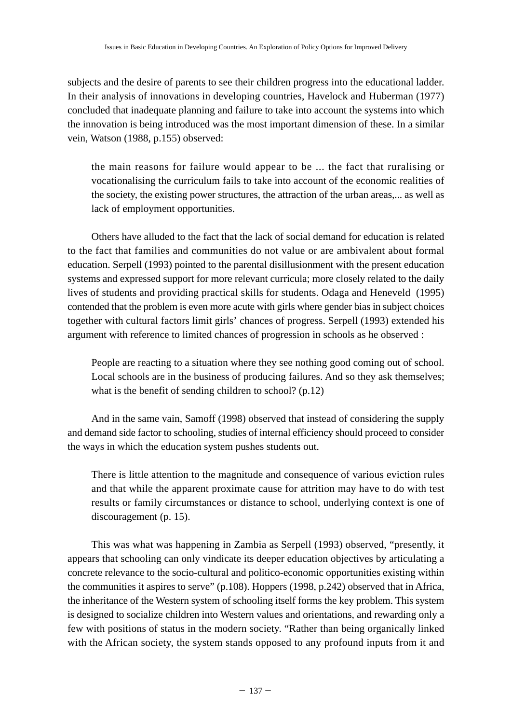subjects and the desire of parents to see their children progress into the educational ladder. In their analysis of innovations in developing countries, Havelock and Huberman (1977) concluded that inadequate planning and failure to take into account the systems into which the innovation is being introduced was the most important dimension of these. In a similar vein, Watson (1988, p.155) observed:

the main reasons for failure would appear to be ... the fact that ruralising or vocationalising the curriculum fails to take into account of the economic realities of the society, the existing power structures, the attraction of the urban areas,... as well as lack of employment opportunities.

Others have alluded to the fact that the lack of social demand for education is related to the fact that families and communities do not value or are ambivalent about formal education. Serpell (1993) pointed to the parental disillusionment with the present education systems and expressed support for more relevant curricula; more closely related to the daily lives of students and providing practical skills for students. Odaga and Heneveld (1995) contended that the problem is even more acute with girls where gender bias in subject choices together with cultural factors limit girls' chances of progress. Serpell (1993) extended his argument with reference to limited chances of progression in schools as he observed :

People are reacting to a situation where they see nothing good coming out of school. Local schools are in the business of producing failures. And so they ask themselves; what is the benefit of sending children to school? (p.12)

And in the same vain, Samoff (1998) observed that instead of considering the supply and demand side factor to schooling, studies of internal efficiency should proceed to consider the ways in which the education system pushes students out.

There is little attention to the magnitude and consequence of various eviction rules and that while the apparent proximate cause for attrition may have to do with test results or family circumstances or distance to school, underlying context is one of discouragement (p. 15).

This was what was happening in Zambia as Serpell (1993) observed, "presently, it appears that schooling can only vindicate its deeper education objectives by articulating a concrete relevance to the socio-cultural and politico-economic opportunities existing within the communities it aspires to serve" (p.108). Hoppers (1998, p.242) observed that in Africa, the inheritance of the Western system of schooling itself forms the key problem. This system is designed to socialize children into Western values and orientations, and rewarding only a few with positions of status in the modern society. "Rather than being organically linked with the African society, the system stands opposed to any profound inputs from it and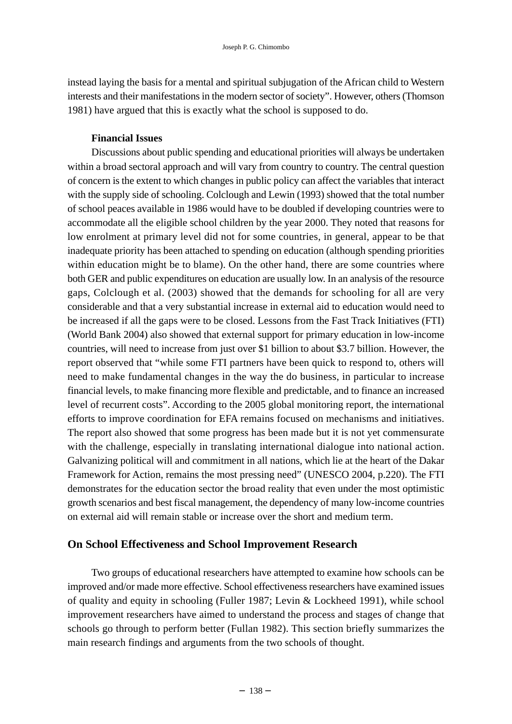instead laying the basis for a mental and spiritual subjugation of the African child to Western interests and their manifestations in the modern sector of society". However, others (Thomson 1981) have argued that this is exactly what the school is supposed to do.

### **Financial Issues**

Discussions about public spending and educational priorities will always be undertaken within a broad sectoral approach and will vary from country to country. The central question of concern is the extent to which changes in public policy can affect the variables that interact with the supply side of schooling. Colclough and Lewin (1993) showed that the total number of school peaces available in 1986 would have to be doubled if developing countries were to accommodate all the eligible school children by the year 2000. They noted that reasons for low enrolment at primary level did not for some countries, in general, appear to be that inadequate priority has been attached to spending on education (although spending priorities within education might be to blame). On the other hand, there are some countries where both GER and public expenditures on education are usually low. In an analysis of the resource gaps, Colclough et al. (2003) showed that the demands for schooling for all are very considerable and that a very substantial increase in external aid to education would need to be increased if all the gaps were to be closed. Lessons from the Fast Track Initiatives (FTI) (World Bank 2004) also showed that external support for primary education in low-income countries, will need to increase from just over \$1 billion to about \$3.7 billion. However, the report observed that "while some FTI partners have been quick to respond to, others will need to make fundamental changes in the way the do business, in particular to increase financial levels, to make financing more flexible and predictable, and to finance an increased level of recurrent costs". According to the 2005 global monitoring report, the international efforts to improve coordination for EFA remains focused on mechanisms and initiatives. The report also showed that some progress has been made but it is not yet commensurate with the challenge, especially in translating international dialogue into national action. Galvanizing political will and commitment in all nations, which lie at the heart of the Dakar Framework for Action, remains the most pressing need" (UNESCO 2004, p.220). The FTI demonstrates for the education sector the broad reality that even under the most optimistic growth scenarios and best fiscal management, the dependency of many low-income countries on external aid will remain stable or increase over the short and medium term.

# **On School Effectiveness and School Improvement Research**

Two groups of educational researchers have attempted to examine how schools can be improved and/or made more effective. School effectiveness researchers have examined issues of quality and equity in schooling (Fuller 1987; Levin & Lockheed 1991), while school improvement researchers have aimed to understand the process and stages of change that schools go through to perform better (Fullan 1982). This section briefly summarizes the main research findings and arguments from the two schools of thought.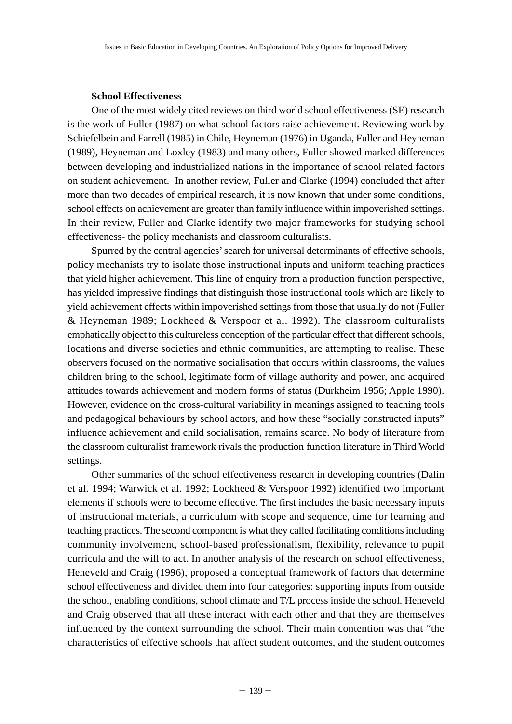### **School Effectiveness**

One of the most widely cited reviews on third world school effectiveness (SE) research is the work of Fuller (1987) on what school factors raise achievement. Reviewing work by Schiefelbein and Farrell (1985) in Chile, Heyneman (1976) in Uganda, Fuller and Heyneman (1989), Heyneman and Loxley (1983) and many others, Fuller showed marked differences between developing and industrialized nations in the importance of school related factors on student achievement. In another review, Fuller and Clarke (1994) concluded that after more than two decades of empirical research, it is now known that under some conditions, school effects on achievement are greater than family influence within impoverished settings. In their review, Fuller and Clarke identify two major frameworks for studying school effectiveness- the policy mechanists and classroom culturalists.

Spurred by the central agencies' search for universal determinants of effective schools, policy mechanists try to isolate those instructional inputs and uniform teaching practices that yield higher achievement. This line of enquiry from a production function perspective, has yielded impressive findings that distinguish those instructional tools which are likely to yield achievement effects within impoverished settings from those that usually do not (Fuller & Heyneman 1989; Lockheed & Verspoor et al. 1992). The classroom culturalists emphatically object to this cultureless conception of the particular effect that different schools, locations and diverse societies and ethnic communities, are attempting to realise. These observers focused on the normative socialisation that occurs within classrooms, the values children bring to the school, legitimate form of village authority and power, and acquired attitudes towards achievement and modern forms of status (Durkheim 1956; Apple 1990). However, evidence on the cross-cultural variability in meanings assigned to teaching tools and pedagogical behaviours by school actors, and how these "socially constructed inputs" influence achievement and child socialisation, remains scarce. No body of literature from the classroom culturalist framework rivals the production function literature in Third World settings.

Other summaries of the school effectiveness research in developing countries (Dalin et al. 1994; Warwick et al. 1992; Lockheed & Verspoor 1992) identified two important elements if schools were to become effective. The first includes the basic necessary inputs of instructional materials, a curriculum with scope and sequence, time for learning and teaching practices. The second component is what they called facilitating conditions including community involvement, school-based professionalism, flexibility, relevance to pupil curricula and the will to act. In another analysis of the research on school effectiveness, Heneveld and Craig (1996), proposed a conceptual framework of factors that determine school effectiveness and divided them into four categories: supporting inputs from outside the school, enabling conditions, school climate and T/L process inside the school. Heneveld and Craig observed that all these interact with each other and that they are themselves influenced by the context surrounding the school. Their main contention was that "the characteristics of effective schools that affect student outcomes, and the student outcomes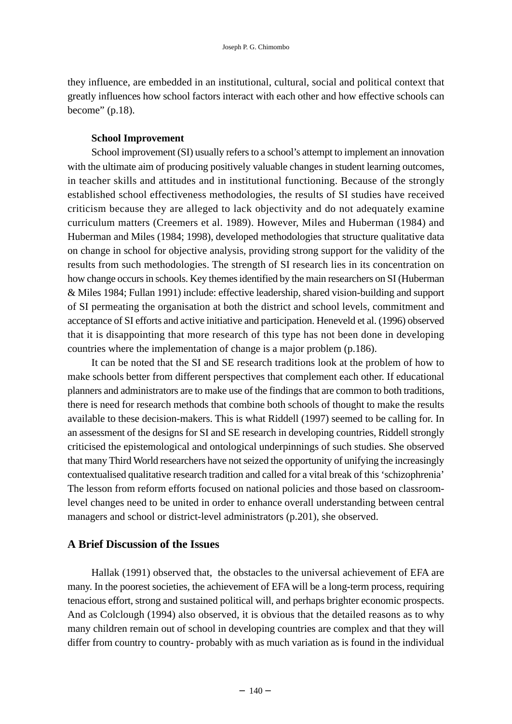they influence, are embedded in an institutional, cultural, social and political context that greatly influences how school factors interact with each other and how effective schools can become" (p.18).

#### **School Improvement**

School improvement (SI) usually refers to a school's attempt to implement an innovation with the ultimate aim of producing positively valuable changes in student learning outcomes, in teacher skills and attitudes and in institutional functioning. Because of the strongly established school effectiveness methodologies, the results of SI studies have received criticism because they are alleged to lack objectivity and do not adequately examine curriculum matters (Creemers et al. 1989). However, Miles and Huberman (1984) and Huberman and Miles (1984; 1998), developed methodologies that structure qualitative data on change in school for objective analysis, providing strong support for the validity of the results from such methodologies. The strength of SI research lies in its concentration on how change occurs in schools. Key themes identified by the main researchers on SI (Huberman & Miles 1984; Fullan 1991) include: effective leadership, shared vision-building and support of SI permeating the organisation at both the district and school levels, commitment and acceptance of SI efforts and active initiative and participation. Heneveld et al. (1996) observed that it is disappointing that more research of this type has not been done in developing countries where the implementation of change is a major problem (p.186).

It can be noted that the SI and SE research traditions look at the problem of how to make schools better from different perspectives that complement each other. If educational planners and administrators are to make use of the findings that are common to both traditions, there is need for research methods that combine both schools of thought to make the results available to these decision-makers. This is what Riddell (1997) seemed to be calling for. In an assessment of the designs for SI and SE research in developing countries, Riddell strongly criticised the epistemological and ontological underpinnings of such studies. She observed that many Third World researchers have not seized the opportunity of unifying the increasingly contextualised qualitative research tradition and called for a vital break of this 'schizophrenia' The lesson from reform efforts focused on national policies and those based on classroomlevel changes need to be united in order to enhance overall understanding between central managers and school or district-level administrators (p.201), she observed.

# **A Brief Discussion of the Issues**

Hallak (1991) observed that, the obstacles to the universal achievement of EFA are many. In the poorest societies, the achievement of EFA will be a long-term process, requiring tenacious effort, strong and sustained political will, and perhaps brighter economic prospects. And as Colclough (1994) also observed, it is obvious that the detailed reasons as to why many children remain out of school in developing countries are complex and that they will differ from country to country- probably with as much variation as is found in the individual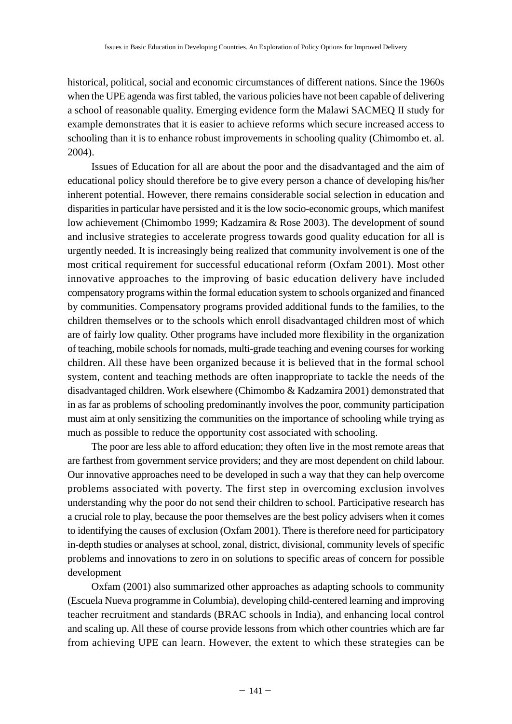historical, political, social and economic circumstances of different nations. Since the 1960s when the UPE agenda was first tabled, the various policies have not been capable of delivering a school of reasonable quality. Emerging evidence form the Malawi SACMEQ II study for example demonstrates that it is easier to achieve reforms which secure increased access to schooling than it is to enhance robust improvements in schooling quality (Chimombo et. al. 2004).

Issues of Education for all are about the poor and the disadvantaged and the aim of educational policy should therefore be to give every person a chance of developing his/her inherent potential. However, there remains considerable social selection in education and disparities in particular have persisted and it is the low socio-economic groups, which manifest low achievement (Chimombo 1999; Kadzamira & Rose 2003). The development of sound and inclusive strategies to accelerate progress towards good quality education for all is urgently needed. It is increasingly being realized that community involvement is one of the most critical requirement for successful educational reform (Oxfam 2001). Most other innovative approaches to the improving of basic education delivery have included compensatory programs within the formal education system to schools organized and financed by communities. Compensatory programs provided additional funds to the families, to the children themselves or to the schools which enroll disadvantaged children most of which are of fairly low quality. Other programs have included more flexibility in the organization of teaching, mobile schools for nomads, multi-grade teaching and evening courses for working children. All these have been organized because it is believed that in the formal school system, content and teaching methods are often inappropriate to tackle the needs of the disadvantaged children. Work elsewhere (Chimombo & Kadzamira 2001) demonstrated that in as far as problems of schooling predominantly involves the poor, community participation must aim at only sensitizing the communities on the importance of schooling while trying as much as possible to reduce the opportunity cost associated with schooling.

The poor are less able to afford education; they often live in the most remote areas that are farthest from government service providers; and they are most dependent on child labour. Our innovative approaches need to be developed in such a way that they can help overcome problems associated with poverty. The first step in overcoming exclusion involves understanding why the poor do not send their children to school. Participative research has a crucial role to play, because the poor themselves are the best policy advisers when it comes to identifying the causes of exclusion (Oxfam 2001). There is therefore need for participatory in-depth studies or analyses at school, zonal, district, divisional, community levels of specific problems and innovations to zero in on solutions to specific areas of concern for possible development

Oxfam (2001) also summarized other approaches as adapting schools to community (Escuela Nueva programme in Columbia), developing child-centered learning and improving teacher recruitment and standards (BRAC schools in India), and enhancing local control and scaling up. All these of course provide lessons from which other countries which are far from achieving UPE can learn. However, the extent to which these strategies can be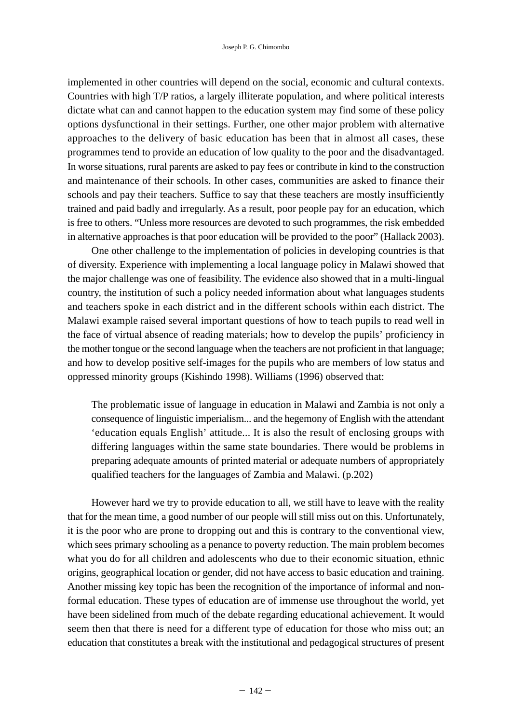implemented in other countries will depend on the social, economic and cultural contexts. Countries with high T/P ratios, a largely illiterate population, and where political interests dictate what can and cannot happen to the education system may find some of these policy options dysfunctional in their settings. Further, one other major problem with alternative approaches to the delivery of basic education has been that in almost all cases, these programmes tend to provide an education of low quality to the poor and the disadvantaged. In worse situations, rural parents are asked to pay fees or contribute in kind to the construction and maintenance of their schools. In other cases, communities are asked to finance their schools and pay their teachers. Suffice to say that these teachers are mostly insufficiently trained and paid badly and irregularly. As a result, poor people pay for an education, which is free to others. "Unless more resources are devoted to such programmes, the risk embedded in alternative approaches is that poor education will be provided to the poor" (Hallack 2003).

One other challenge to the implementation of policies in developing countries is that of diversity. Experience with implementing a local language policy in Malawi showed that the major challenge was one of feasibility. The evidence also showed that in a multi-lingual country, the institution of such a policy needed information about what languages students and teachers spoke in each district and in the different schools within each district. The Malawi example raised several important questions of how to teach pupils to read well in the face of virtual absence of reading materials; how to develop the pupils' proficiency in the mother tongue or the second language when the teachers are not proficient in that language; and how to develop positive self-images for the pupils who are members of low status and oppressed minority groups (Kishindo 1998). Williams (1996) observed that:

The problematic issue of language in education in Malawi and Zambia is not only a consequence of linguistic imperialism... and the hegemony of English with the attendant 'education equals English' attitude... It is also the result of enclosing groups with differing languages within the same state boundaries. There would be problems in preparing adequate amounts of printed material or adequate numbers of appropriately qualified teachers for the languages of Zambia and Malawi. (p.202)

However hard we try to provide education to all, we still have to leave with the reality that for the mean time, a good number of our people will still miss out on this. Unfortunately, it is the poor who are prone to dropping out and this is contrary to the conventional view, which sees primary schooling as a penance to poverty reduction. The main problem becomes what you do for all children and adolescents who due to their economic situation, ethnic origins, geographical location or gender, did not have access to basic education and training. Another missing key topic has been the recognition of the importance of informal and nonformal education. These types of education are of immense use throughout the world, yet have been sidelined from much of the debate regarding educational achievement. It would seem then that there is need for a different type of education for those who miss out; an education that constitutes a break with the institutional and pedagogical structures of present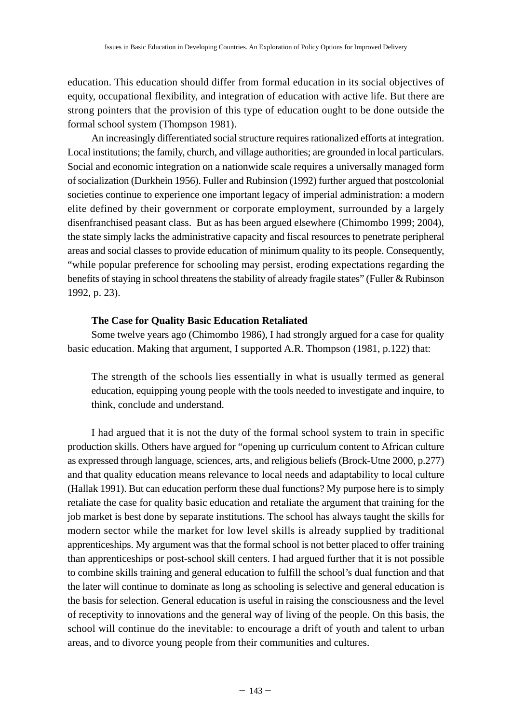education. This education should differ from formal education in its social objectives of equity, occupational flexibility, and integration of education with active life. But there are strong pointers that the provision of this type of education ought to be done outside the formal school system (Thompson 1981).

An increasingly differentiated social structure requires rationalized efforts at integration. Local institutions; the family, church, and village authorities; are grounded in local particulars. Social and economic integration on a nationwide scale requires a universally managed form of socialization (Durkhein 1956). Fuller and Rubinsion (1992) further argued that postcolonial societies continue to experience one important legacy of imperial administration: a modern elite defined by their government or corporate employment, surrounded by a largely disenfranchised peasant class. But as has been argued elsewhere (Chimombo 1999; 2004), the state simply lacks the administrative capacity and fiscal resources to penetrate peripheral areas and social classes to provide education of minimum quality to its people. Consequently, "while popular preference for schooling may persist, eroding expectations regarding the benefits of staying in school threatens the stability of already fragile states" (Fuller & Rubinson 1992, p. 23).

### **The Case for Quality Basic Education Retaliated**

Some twelve years ago (Chimombo 1986), I had strongly argued for a case for quality basic education. Making that argument, I supported A.R. Thompson (1981, p.122) that:

The strength of the schools lies essentially in what is usually termed as general education, equipping young people with the tools needed to investigate and inquire, to think, conclude and understand.

I had argued that it is not the duty of the formal school system to train in specific production skills. Others have argued for "opening up curriculum content to African culture as expressed through language, sciences, arts, and religious beliefs (Brock-Utne 2000, p.277) and that quality education means relevance to local needs and adaptability to local culture (Hallak 1991). But can education perform these dual functions? My purpose here is to simply retaliate the case for quality basic education and retaliate the argument that training for the job market is best done by separate institutions. The school has always taught the skills for modern sector while the market for low level skills is already supplied by traditional apprenticeships. My argument was that the formal school is not better placed to offer training than apprenticeships or post-school skill centers. I had argued further that it is not possible to combine skills training and general education to fulfill the school's dual function and that the later will continue to dominate as long as schooling is selective and general education is the basis for selection. General education is useful in raising the consciousness and the level of receptivity to innovations and the general way of living of the people. On this basis, the school will continue do the inevitable: to encourage a drift of youth and talent to urban areas, and to divorce young people from their communities and cultures.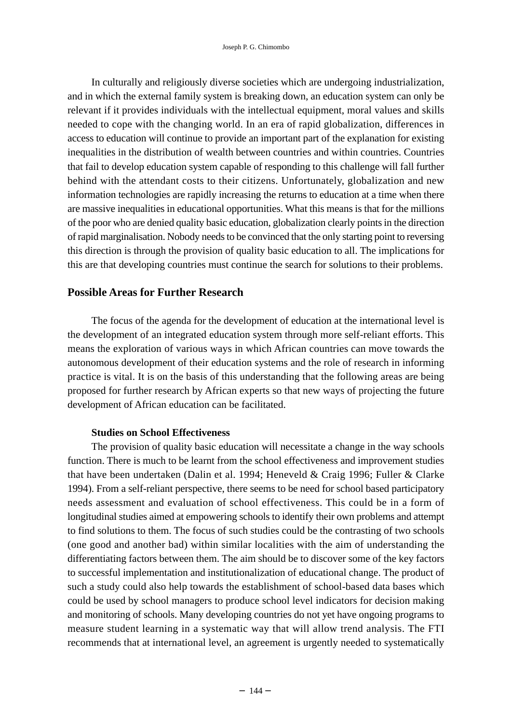In culturally and religiously diverse societies which are undergoing industrialization, and in which the external family system is breaking down, an education system can only be relevant if it provides individuals with the intellectual equipment, moral values and skills needed to cope with the changing world. In an era of rapid globalization, differences in access to education will continue to provide an important part of the explanation for existing inequalities in the distribution of wealth between countries and within countries. Countries that fail to develop education system capable of responding to this challenge will fall further behind with the attendant costs to their citizens. Unfortunately, globalization and new information technologies are rapidly increasing the returns to education at a time when there are massive inequalities in educational opportunities. What this means is that for the millions of the poor who are denied quality basic education, globalization clearly points in the direction of rapid marginalisation. Nobody needs to be convinced that the only starting point to reversing this direction is through the provision of quality basic education to all. The implications for this are that developing countries must continue the search for solutions to their problems.

# **Possible Areas for Further Research**

The focus of the agenda for the development of education at the international level is the development of an integrated education system through more self-reliant efforts. This means the exploration of various ways in which African countries can move towards the autonomous development of their education systems and the role of research in informing practice is vital. It is on the basis of this understanding that the following areas are being proposed for further research by African experts so that new ways of projecting the future development of African education can be facilitated.

#### **Studies on School Effectiveness**

The provision of quality basic education will necessitate a change in the way schools function. There is much to be learnt from the school effectiveness and improvement studies that have been undertaken (Dalin et al. 1994; Heneveld & Craig 1996; Fuller & Clarke 1994). From a self-reliant perspective, there seems to be need for school based participatory needs assessment and evaluation of school effectiveness. This could be in a form of longitudinal studies aimed at empowering schools to identify their own problems and attempt to find solutions to them. The focus of such studies could be the contrasting of two schools (one good and another bad) within similar localities with the aim of understanding the differentiating factors between them. The aim should be to discover some of the key factors to successful implementation and institutionalization of educational change. The product of such a study could also help towards the establishment of school-based data bases which could be used by school managers to produce school level indicators for decision making and monitoring of schools. Many developing countries do not yet have ongoing programs to measure student learning in a systematic way that will allow trend analysis. The FTI recommends that at international level, an agreement is urgently needed to systematically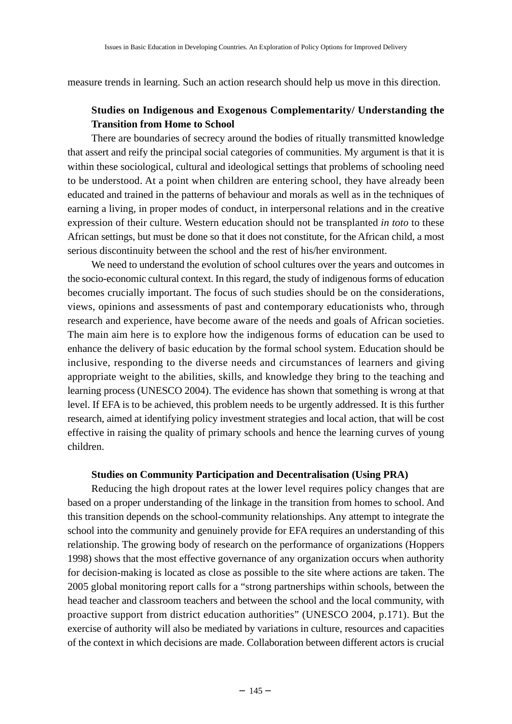measure trends in learning. Such an action research should help us move in this direction.

# **Studies on Indigenous and Exogenous Complementarity/ Understanding the Transition from Home to School**

There are boundaries of secrecy around the bodies of ritually transmitted knowledge that assert and reify the principal social categories of communities. My argument is that it is within these sociological, cultural and ideological settings that problems of schooling need to be understood. At a point when children are entering school, they have already been educated and trained in the patterns of behaviour and morals as well as in the techniques of earning a living, in proper modes of conduct, in interpersonal relations and in the creative expression of their culture. Western education should not be transplanted *in toto* to these African settings, but must be done so that it does not constitute, for the African child, a most serious discontinuity between the school and the rest of his/her environment.

We need to understand the evolution of school cultures over the years and outcomes in the socio-economic cultural context. In this regard, the study of indigenous forms of education becomes crucially important. The focus of such studies should be on the considerations, views, opinions and assessments of past and contemporary educationists who, through research and experience, have become aware of the needs and goals of African societies. The main aim here is to explore how the indigenous forms of education can be used to enhance the delivery of basic education by the formal school system. Education should be inclusive, responding to the diverse needs and circumstances of learners and giving appropriate weight to the abilities, skills, and knowledge they bring to the teaching and learning process (UNESCO 2004). The evidence has shown that something is wrong at that level. If EFA is to be achieved, this problem needs to be urgently addressed. It is this further research, aimed at identifying policy investment strategies and local action, that will be cost effective in raising the quality of primary schools and hence the learning curves of young children.

### **Studies on Community Participation and Decentralisation (Using PRA)**

Reducing the high dropout rates at the lower level requires policy changes that are based on a proper understanding of the linkage in the transition from homes to school. And this transition depends on the school-community relationships. Any attempt to integrate the school into the community and genuinely provide for EFA requires an understanding of this relationship. The growing body of research on the performance of organizations (Hoppers 1998) shows that the most effective governance of any organization occurs when authority for decision-making is located as close as possible to the site where actions are taken. The 2005 global monitoring report calls for a "strong partnerships within schools, between the head teacher and classroom teachers and between the school and the local community, with proactive support from district education authorities" (UNESCO 2004, p.171). But the exercise of authority will also be mediated by variations in culture, resources and capacities of the context in which decisions are made. Collaboration between different actors is crucial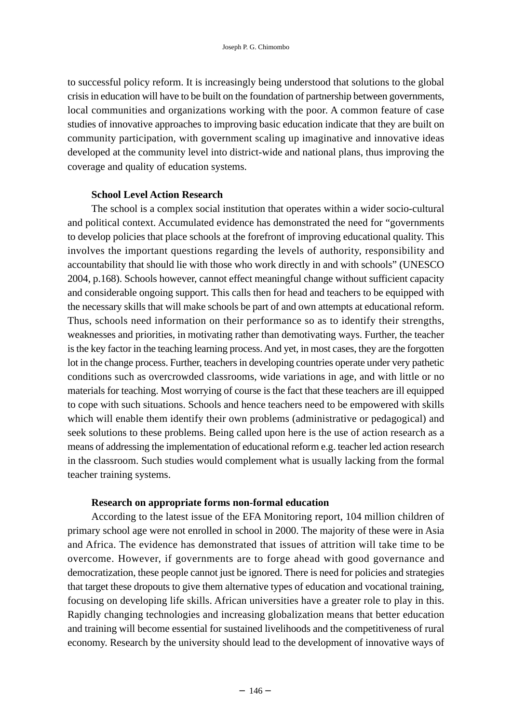to successful policy reform. It is increasingly being understood that solutions to the global crisis in education will have to be built on the foundation of partnership between governments, local communities and organizations working with the poor. A common feature of case studies of innovative approaches to improving basic education indicate that they are built on community participation, with government scaling up imaginative and innovative ideas developed at the community level into district-wide and national plans, thus improving the coverage and quality of education systems.

#### **School Level Action Research**

The school is a complex social institution that operates within a wider socio-cultural and political context. Accumulated evidence has demonstrated the need for "governments to develop policies that place schools at the forefront of improving educational quality. This involves the important questions regarding the levels of authority, responsibility and accountability that should lie with those who work directly in and with schools" (UNESCO 2004, p.168). Schools however, cannot effect meaningful change without sufficient capacity and considerable ongoing support. This calls then for head and teachers to be equipped with the necessary skills that will make schools be part of and own attempts at educational reform. Thus, schools need information on their performance so as to identify their strengths, weaknesses and priorities, in motivating rather than demotivating ways. Further, the teacher is the key factor in the teaching learning process. And yet, in most cases, they are the forgotten lot in the change process. Further, teachers in developing countries operate under very pathetic conditions such as overcrowded classrooms, wide variations in age, and with little or no materials for teaching. Most worrying of course is the fact that these teachers are ill equipped to cope with such situations. Schools and hence teachers need to be empowered with skills which will enable them identify their own problems (administrative or pedagogical) and seek solutions to these problems. Being called upon here is the use of action research as a means of addressing the implementation of educational reform e.g. teacher led action research in the classroom. Such studies would complement what is usually lacking from the formal teacher training systems.

#### **Research on appropriate forms non-formal education**

According to the latest issue of the EFA Monitoring report, 104 million children of primary school age were not enrolled in school in 2000. The majority of these were in Asia and Africa. The evidence has demonstrated that issues of attrition will take time to be overcome. However, if governments are to forge ahead with good governance and democratization, these people cannot just be ignored. There is need for policies and strategies that target these dropouts to give them alternative types of education and vocational training, focusing on developing life skills. African universities have a greater role to play in this. Rapidly changing technologies and increasing globalization means that better education and training will become essential for sustained livelihoods and the competitiveness of rural economy. Research by the university should lead to the development of innovative ways of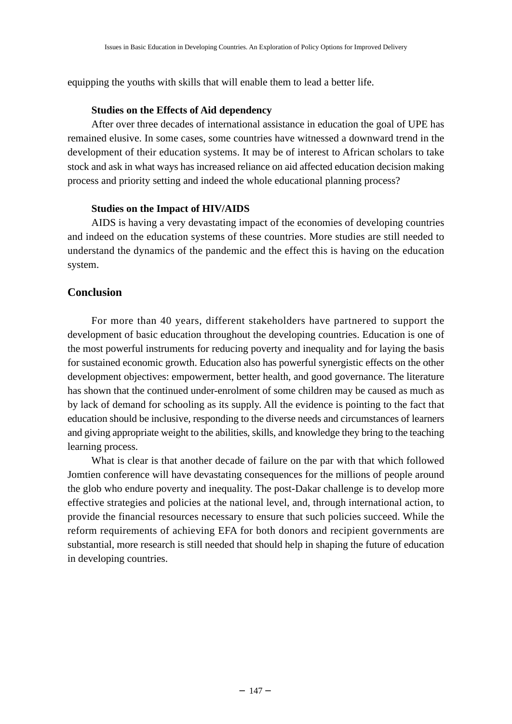equipping the youths with skills that will enable them to lead a better life.

### **Studies on the Effects of Aid dependency**

After over three decades of international assistance in education the goal of UPE has remained elusive. In some cases, some countries have witnessed a downward trend in the development of their education systems. It may be of interest to African scholars to take stock and ask in what ways has increased reliance on aid affected education decision making process and priority setting and indeed the whole educational planning process?

### **Studies on the Impact of HIV/AIDS**

AIDS is having a very devastating impact of the economies of developing countries and indeed on the education systems of these countries. More studies are still needed to understand the dynamics of the pandemic and the effect this is having on the education system.

# **Conclusion**

For more than 40 years, different stakeholders have partnered to support the development of basic education throughout the developing countries. Education is one of the most powerful instruments for reducing poverty and inequality and for laying the basis for sustained economic growth. Education also has powerful synergistic effects on the other development objectives: empowerment, better health, and good governance. The literature has shown that the continued under-enrolment of some children may be caused as much as by lack of demand for schooling as its supply. All the evidence is pointing to the fact that education should be inclusive, responding to the diverse needs and circumstances of learners and giving appropriate weight to the abilities, skills, and knowledge they bring to the teaching learning process.

What is clear is that another decade of failure on the par with that which followed Jomtien conference will have devastating consequences for the millions of people around the glob who endure poverty and inequality. The post-Dakar challenge is to develop more effective strategies and policies at the national level, and, through international action, to provide the financial resources necessary to ensure that such policies succeed. While the reform requirements of achieving EFA for both donors and recipient governments are substantial, more research is still needed that should help in shaping the future of education in developing countries.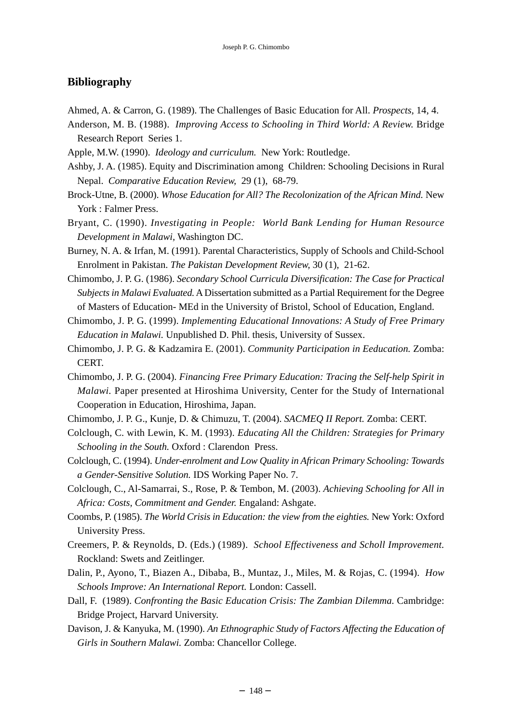# **Bibliography**

- Ahmed, A. & Carron, G. (1989). The Challenges of Basic Education for All. *Prospects,* 14, 4.
- Anderson, M. B. (1988). *Improving Access to Schooling in Third World: A Review.* Bridge Research Report Series 1.
- Apple, M.W. (1990). *Ideology and curriculum.* New York: Routledge.
- Ashby, J. A. (1985). Equity and Discrimination among Children: Schooling Decisions in Rural Nepal. *Comparative Education Review,* 29 (1), 68-79.
- Brock-Utne, B. (2000). *Whose Education for All? The Recolonization of the African Mind.* New York : Falmer Press.
- Bryant, C. (1990). *Investigating in People: World Bank Lending for Human Resource Development in Malawi,* Washington DC.
- Burney, N. A. & Irfan, M. (1991). Parental Characteristics, Supply of Schools and Child-School Enrolment in Pakistan. *The Pakistan Development Review,* 30 (1), 21-62.
- Chimombo, J. P. G. (1986). *Secondary School Curricula Diversification: The Case for Practical Subjects in Malawi Evaluated.*A Dissertation submitted as a Partial Requirement for the Degree of Masters of Education- MEd in the University of Bristol, School of Education, England.
- Chimombo, J. P. G. (1999). *Implementing Educational Innovations: A Study of Free Primary Education in Malawi.* Unpublished D. Phil. thesis, University of Sussex.
- Chimombo, J. P. G. & Kadzamira E. (2001). *Community Participation in Eeducation.* Zomba: CERT.
- Chimombo, J. P. G. (2004). *Financing Free Primary Education: Tracing the Self-help Spirit in Malawi.* Paper presented at Hiroshima University, Center for the Study of International Cooperation in Education, Hiroshima, Japan.
- Chimombo, J. P. G., Kunje, D. & Chimuzu, T. (2004). *SACMEQ II Report.* Zomba: CERT.
- Colclough, C. with Lewin, K. M. (1993). *Educating All the Children: Strategies for Primary Schooling in the South.* Oxford : Clarendon Press.
- Colclough, C. (1994). *Under-enrolment and Low Quality in African Primary Schooling: Towards a Gender-Sensitive Solution.* IDS Working Paper No. 7.
- Colclough, C., Al-Samarrai, S., Rose, P. & Tembon, M. (2003). *Achieving Schooling for All in Africa: Costs, Commitment and Gender.* Engaland: Ashgate.
- Coombs, P. (1985). *The World Crisis in Education: the view from the eighties.* New York: Oxford University Press.
- Creemers, P. & Reynolds, D. (Eds.) (1989). *School Effectiveness and Scholl Improvement.* Rockland: Swets and Zeitlinger.
- Dalin, P., Ayono, T., Biazen A., Dibaba, B., Muntaz, J., Miles, M. & Rojas, C. (1994). *How Schools Improve: An International Report.* London: Cassell.
- Dall, F. (1989). *Confronting the Basic Education Crisis: The Zambian Dilemma.* Cambridge: Bridge Project, Harvard University.
- Davison, J. & Kanyuka, M. (1990). *An Ethnographic Study of Factors Affecting the Education of Girls in Southern Malawi.* Zomba: Chancellor College.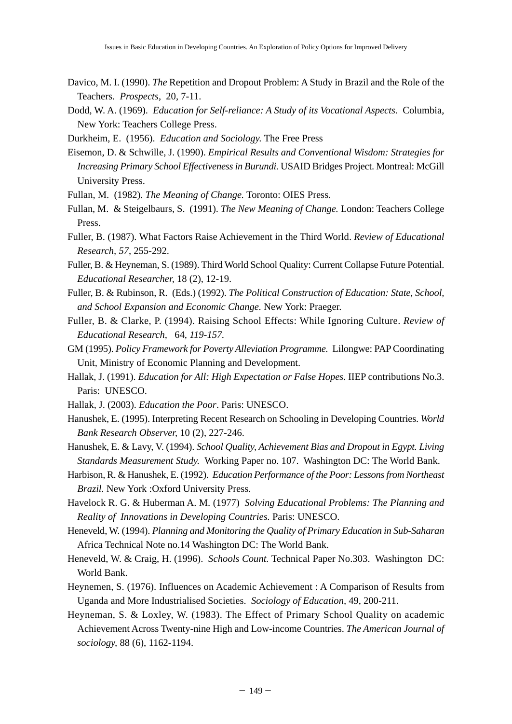- Davico, M. I. (1990). *The* Repetition and Dropout Problem: A Study in Brazil and the Role of the Teachers. *Prospects*, 20, 7-11.
- Dodd, W. A. (1969). *Education for Self-reliance: A Study of its Vocational Aspects.* Columbia, New York: Teachers College Press.

Durkheim, E. (1956). *Education and Sociology.* The Free Press

- Eisemon, D. & Schwille, J. (1990). *Empirical Results and Conventional Wisdom: Strategies for Increasing Primary School Effectiveness in Burundi.* USAID Bridges Project. Montreal: McGill University Press.
- Fullan, M. (1982). *The Meaning of Change.* Toronto: OIES Press.
- Fullan, M. & Steigelbaurs, S. (1991). *The New Meaning of Change.* London: Teachers College Press.
- Fuller, B. (1987). What Factors Raise Achievement in the Third World. *Review of Educational Research, 57*, 255-292.
- Fuller, B. & Heyneman, S. (1989). Third World School Quality: Current Collapse Future Potential. *Educational Researcher,* 18 (2), 12-19.
- Fuller, B. & Rubinson, R. (Eds.) (1992). *The Political Construction of Education: State, School, and School Expansion and Economic Change.* New York: Praeger.
- Fuller, B. & Clarke, P. (1994). Raising School Effects: While Ignoring Culture. *Review of Educational Research,* 64*, 119-157.*
- GM (1995). *Policy Framework for Poverty Alleviation Programme.* Lilongwe: PAP Coordinating Unit, Ministry of Economic Planning and Development.
- Hallak, J. (1991). *Education for All: High Expectation or False Hopes.* IIEP contributions No.3. Paris: UNESCO.
- Hallak, J. (2003). *Education the Poor*. Paris: UNESCO.
- Hanushek, E. (1995). Interpreting Recent Research on Schooling in Developing Countries. *World Bank Research Observer,* 10 (2), 227-246.
- Hanushek, E. & Lavy, V. (1994). *School Quality, Achievement Bias and Dropout in Egypt. Living Standards Measurement Study.* Working Paper no. 107. Washington DC: The World Bank.
- Harbison, R. & Hanushek, E. (1992). *Education Performance of the Poor: Lessons from Northeast Brazil.* New York :Oxford University Press.
- Havelock R. G. & Huberman A. M. (1977) *Solving Educational Problems: The Planning and Reality of Innovations in Developing Countries.* Paris: UNESCO.
- Heneveld, W. (1994). *Planning and Monitoring the Quality of Primary Education in Sub-Saharan* Africa Technical Note no.14 Washington DC: The World Bank.
- Heneveld, W. & Craig, H. (1996). *Schools Count.* Technical Paper No.303. Washington DC: World Bank.
- Heynemen, S. (1976). Influences on Academic Achievement : A Comparison of Results from Uganda and More Industrialised Societies. *Sociology of Education,* 49, 200-211.
- Heyneman, S. & Loxley, W. (1983). The Effect of Primary School Quality on academic Achievement Across Twenty-nine High and Low-income Countries. *The American Journal of sociology,* 88 (6), 1162-1194.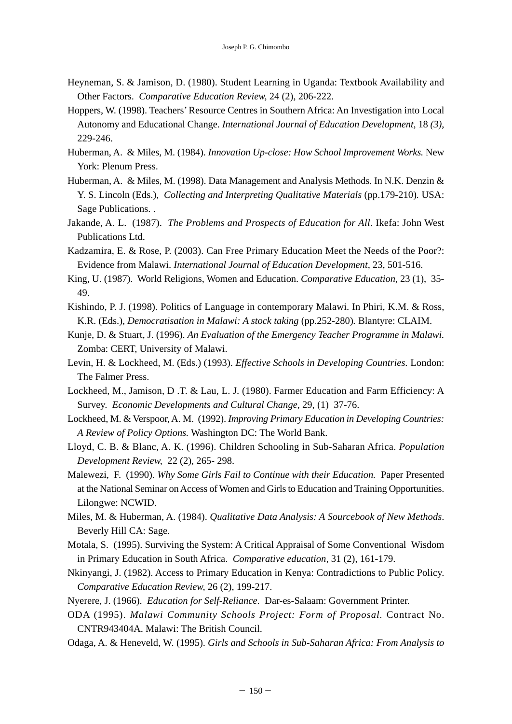- Heyneman, S. & Jamison, D. (1980). Student Learning in Uganda: Textbook Availability and Other Factors. *Comparative Education Review,* 24 (2), 206-222.
- Hoppers, W. (1998). Teachers' Resource Centres in Southern Africa: An Investigation into Local Autonomy and Educational Change. *International Journal of Education Development,* 18 *(3)*, 229-246.
- Huberman, A. & Miles, M. (1984). *Innovation Up-close: How School Improvement Works.* New York: Plenum Press.
- Huberman, A. & Miles, M. (1998). Data Management and Analysis Methods. In N.K. Denzin & Y. S. Lincoln (Eds.), *Collecting and Interpreting Qualitative Materials* (pp.179-210)*.* USA: Sage Publications. .
- Jakande, A. L. (1987). *The Problems and Prospects of Education for All*. Ikefa: John West Publications Ltd.
- Kadzamira, E. & Rose, P. (2003). Can Free Primary Education Meet the Needs of the Poor?: Evidence from Malawi. *International Journal of Education Development,* 23, 501-516.
- King, U. (1987). World Religions, Women and Education. *Comparative Education,* 23 (1), 35- 49.
- Kishindo, P. J. (1998). Politics of Language in contemporary Malawi. In Phiri, K.M. & Ross, K.R. (Eds.), *Democratisation in Malawi: A stock taking* (pp.252-280)*.* Blantyre: CLAIM.
- Kunje, D. & Stuart, J. (1996). *An Evaluation of the Emergency Teacher Programme in Malawi.* Zomba: CERT, University of Malawi.
- Levin, H. & Lockheed, M. (Eds.) (1993). *Effective Schools in Developing Countries.* London: The Falmer Press.
- Lockheed, M., Jamison, D .T. & Lau, L. J. (1980). Farmer Education and Farm Efficiency: A Survey. *Economic Developments and Cultural Change,* 29, (1) 37-76.
- Lockheed, M. & Verspoor, A. M. (1992). *Improving Primary Education in Developing Countries: A Review of Policy Options.* Washington DC: The World Bank.
- Lloyd, C. B. & Blanc, A. K. (1996). Children Schooling in Sub-Saharan Africa. *Population Development Review,* 22 (2), 265- 298.
- Malewezi, F. (1990). *Why Some Girls Fail to Continue with their Education.* Paper Presented at the National Seminar on Access of Women and Girls to Education and Training Opportunities. Lilongwe: NCWID.
- Miles, M. & Huberman, A. (1984). *Qualitative Data Analysis: A Sourcebook of New Methods*. Beverly Hill CA: Sage.
- Motala, S. (1995). Surviving the System: A Critical Appraisal of Some Conventional Wisdom in Primary Education in South Africa. *Comparative education,* 31 (2), 161-179.
- Nkinyangi, J. (1982). Access to Primary Education in Kenya: Contradictions to Public Policy. *Comparative Education Review,* 26 (2), 199-217.
- Nyerere, J. (1966). *Education for Self-Reliance*. Dar-es-Salaam: Government Printer.
- ODA (1995). *Malawi Community Schools Project: Form of Proposal.* Contract No. CNTR943404A. Malawi: The British Council.
- Odaga, A. & Heneveld, W. (1995). *Girls and Schools in Sub-Saharan Africa: From Analysis to*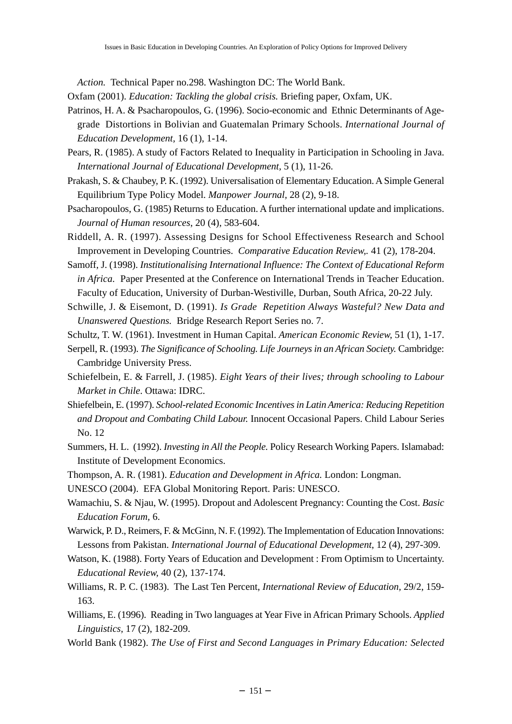*Action.* Technical Paper no.298. Washington DC: The World Bank.

Oxfam (2001). *Education: Tackling the global crisis.* Briefing paper, Oxfam, UK.

- Patrinos, H. A. & Psacharopoulos, G. (1996). Socio-economic and Ethnic Determinants of Agegrade Distortions in Bolivian and Guatemalan Primary Schools. *International Journal of Education Development,* 16 (1), 1-14.
- Pears, R. (1985). A study of Factors Related to Inequality in Participation in Schooling in Java. *International Journal of Educational Development,* 5 (1), 11-26.
- Prakash, S. & Chaubey, P. K. (1992). Universalisation of Elementary Education. A Simple General Equilibrium Type Policy Model. *Manpower Journal,* 28 (2), 9-18.
- Psacharopoulos, G. (1985) Returns to Education. A further international update and implications. *Journal of Human resources*, 20 (4), 583-604.
- Riddell, A. R. (1997). Assessing Designs for School Effectiveness Research and School Improvement in Developing Countries. *Comparative Education Review,.* 41 (2), 178-204.
- Samoff, J. (1998). *Institutionalising International Influence: The Context of Educational Reform in Africa.* Paper Presented at the Conference on International Trends in Teacher Education. Faculty of Education, University of Durban-Westiville, Durban, South Africa, 20-22 July.
- Schwille, J. & Eisemont, D. (1991). *Is Grade Repetition Always Wasteful? New Data and Unanswered Questions.* Bridge Research Report Series no. 7.
- Schultz, T. W. (1961). Investment in Human Capital. *American Economic Review,* 51 (1), 1-17.
- Serpell, R. (1993). *The Significance of Schooling. Life Journeys in an African Society.* Cambridge: Cambridge University Press.
- Schiefelbein, E. & Farrell, J. (1985). *Eight Years of their lives; through schooling to Labour Market in Chile*. Ottawa: IDRC.
- Shiefelbein, E. (1997). *School-related Economic Incentives in Latin America: Reducing Repetition and Dropout and Combating Child Labour.* Innocent Occasional Papers. Child Labour Series No. 12
- Summers, H. L. (1992). *Investing in All the People.* Policy Research Working Papers. Islamabad: Institute of Development Economics.
- Thompson, A. R. (1981). *Education and Development in Africa.* London: Longman.
- UNESCO (2004). EFA Global Monitoring Report. Paris: UNESCO.
- Wamachiu, S. & Njau, W. (1995). Dropout and Adolescent Pregnancy: Counting the Cost. *Basic Education Forum,* 6.
- Warwick, P. D., Reimers, F. & McGinn, N. F. (1992). The Implementation of Education Innovations: Lessons from Pakistan. *International Journal of Educational Development*, 12 (4), 297-309.
- Watson, K. (1988). Forty Years of Education and Development : From Optimism to Uncertainty. *Educational Review,* 40 (2), 137-174.
- Williams, R. P. C. (1983). The Last Ten Percent, *International Review of Education,* 29/2, 159- 163.
- Williams, E. (1996). Reading in Two languages at Year Five in African Primary Schools. *Applied Linguistics,* 17 (2), 182-209.
- World Bank (1982). *The Use of First and Second Languages in Primary Education: Selected*